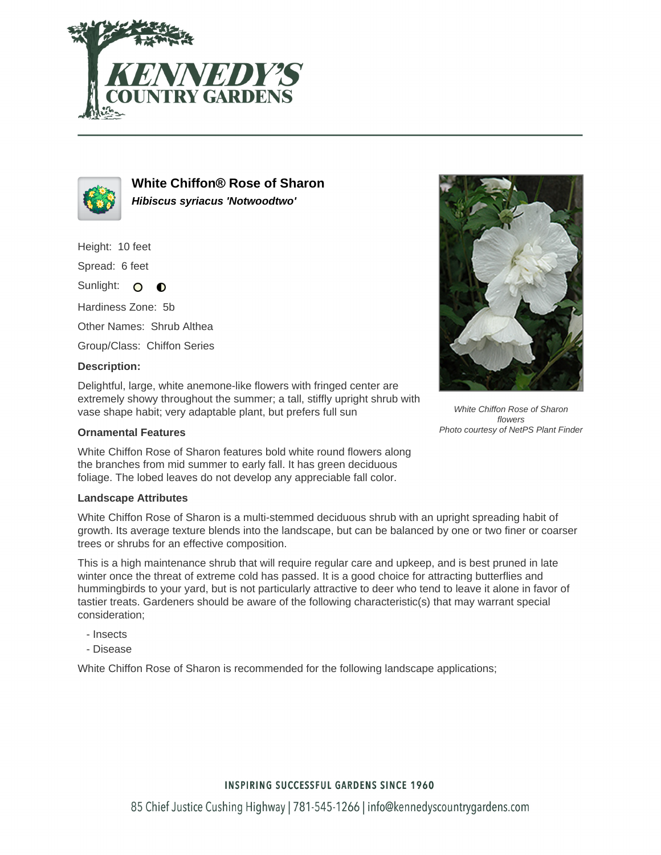



**White Chiffon® Rose of Sharon Hibiscus syriacus 'Notwoodtwo'**

Height: 10 feet

Spread: 6 feet

Sunlight: O  $\bullet$ 

Hardiness Zone: 5b

Other Names: Shrub Althea

Group/Class: Chiffon Series

## **Description:**

Delightful, large, white anemone-like flowers with fringed center are extremely showy throughout the summer; a tall, stiffly upright shrub with vase shape habit; very adaptable plant, but prefers full sun

## **Ornamental Features**

White Chiffon Rose of Sharon features bold white round flowers along the branches from mid summer to early fall. It has green deciduous foliage. The lobed leaves do not develop any appreciable fall color.

## **Landscape Attributes**

White Chiffon Rose of Sharon is a multi-stemmed deciduous shrub with an upright spreading habit of growth. Its average texture blends into the landscape, but can be balanced by one or two finer or coarser trees or shrubs for an effective composition.

This is a high maintenance shrub that will require regular care and upkeep, and is best pruned in late winter once the threat of extreme cold has passed. It is a good choice for attracting butterflies and hummingbirds to your yard, but is not particularly attractive to deer who tend to leave it alone in favor of tastier treats. Gardeners should be aware of the following characteristic(s) that may warrant special consideration;

- Insects
- Disease

White Chiffon Rose of Sharon is recommended for the following landscape applications;



White Chiffon Rose of Sharon flowers Photo courtesy of NetPS Plant Finder

# **INSPIRING SUCCESSFUL GARDENS SINCE 1960**

85 Chief Justice Cushing Highway | 781-545-1266 | info@kennedyscountrygardens.com